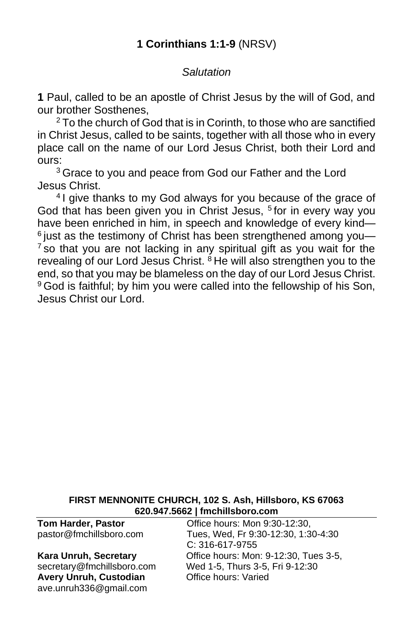## *Salutation*

**1** Paul, called to be an apostle of Christ Jesus by the will of God, and our brother Sosthenes,

<sup>2</sup> To the church of God that is in Corinth, to those who are sanctified in Christ Jesus, called to be saints, together with all those who in every place call on the name of our Lord Jesus Christ, both their Lord and ours:

<sup>3</sup> Grace to you and peace from God our Father and the Lord Jesus Christ.

<sup>4</sup> I give thanks to my God always for you because of the grace of God that has been given you in Christ Jesus, <sup>5</sup> for in every way you have been enriched in him, in speech and knowledge of every kind—  $6$  just as the testimony of Christ has been strengthened among you- $<sup>7</sup>$  so that you are not lacking in any spiritual gift as you wait for the</sup> revealing of our Lord Jesus Christ. <sup>8</sup> He will also strengthen you to the end, so that you may be blameless on the day of our Lord Jesus Christ. <sup>9</sup> God is faithful; by him you were called into the fellowship of his Son, Jesus Christ our Lord.

#### **FIRST MENNONITE CHURCH, 102 S. Ash, Hillsboro, KS 67063 620.947.5662 | fmchillsboro.com**

**Avery Unruh, Custodian Office hours: Varied** [ave.unruh336@gmail.com](mailto:ave.unruh336@gmail.com)

**Tom Harder, Pastor Office hours: Mon 9:30-12:30,** pastor@fmchillsboro.com Tues, Wed, Fr 9:30-12:30, 1:30-4:30 C: 316-617-9755 **Kara Unruh, Secretary Character Conservance Conservance Conservance Conservance Section** Number 3-5, secretary@fmchillsboro.com Wed 1-5, Thurs 3-5, Fri 9-12:30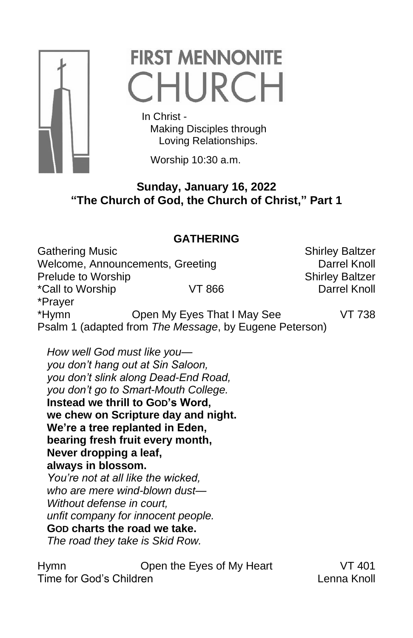

# **FIRST MENNONITE** CHURCH

 In Christ - Making Disciples through Loving Relationships.

Worship 10:30 a.m.

## **Sunday, January 16, 2022 "The Church of God, the Church of Christ," Part 1**

## **GATHERING**

Gathering Music **Shirley Baltzer** Shirley Baltzer Welcome, Announcements, Greeting **Darrel Knoll** Prelude to Worship New York 1997 Shirley Baltzer \*Call to Worship VT 866 Darrel Knoll \*Prayer \*Hymn Open My Eyes That I May See VT 738 Psalm 1 (adapted from *The Message*, by Eugene Peterson)

*How well God must like you you don't hang out at Sin Saloon, you don't slink along Dead-End Road, you don't go to Smart-Mouth College.* **Instead we thrill to GOD's Word, we chew on Scripture day and night. We're a tree replanted in Eden, bearing fresh fruit every month, Never dropping a leaf, always in blossom.** *You're not at all like the wicked, who are mere wind-blown dust— Without defense in court, unfit company for innocent people.* **GOD charts the road we take.** *The road they take is Skid Row.*

Hymn Open the Eyes of My Heart VT 401 Time for God's Children Lenna Knoll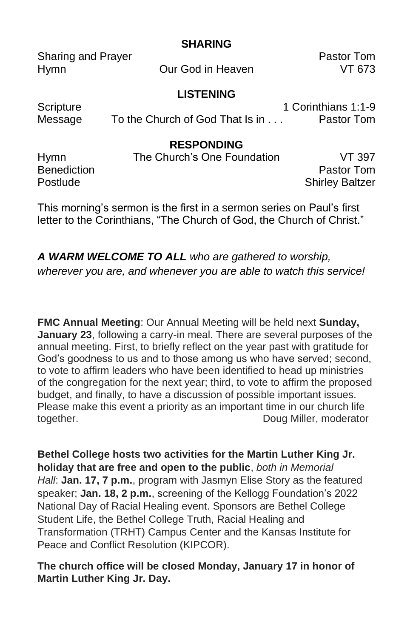|                                          | <b>SHARING</b>                                      |                                   |
|------------------------------------------|-----------------------------------------------------|-----------------------------------|
| <b>Sharing and Prayer</b><br><b>Hymn</b> | Our God in Heaven                                   | Pastor Tom<br>VT 673              |
| Scripture<br>Message                     | <b>LISTENING</b><br>To the Church of God That Is in | 1 Corinthians 1:1-9<br>Pastor Tom |
| <b>Hymn</b>                              | <b>RESPONDING</b><br>The Church's One Foundation    | VT 397                            |

Benediction **Pastor Tommunics Pastor Tommunics Pastor Tommunics** Postlude **Shirley Baltzer** Shirley Baltzer

**SHARING**

This morning's sermon is the first in a sermon series on Paul's first letter to the Corinthians, "The Church of God, the Church of Christ."

*A WARM WELCOME TO ALL who are gathered to worship, wherever you are, and whenever you are able to watch this service!*

**FMC Annual Meeting**: Our Annual Meeting will be held next **Sunday, January 23**, following a carry-in meal. There are several purposes of the annual meeting. First, to briefly reflect on the year past with gratitude for God's goodness to us and to those among us who have served; second, to vote to affirm leaders who have been identified to head up ministries of the congregation for the next year; third, to vote to affirm the proposed budget, and finally, to have a discussion of possible important issues. Please make this event a priority as an important time in our church life together. Doug Miller, moderator

**Bethel College hosts two activities for the Martin Luther King Jr. holiday that are free and open to the public**, *both in Memorial Hall*: **Jan. 17, 7 p.m.**, program with Jasmyn Elise Story as the featured speaker; **Jan. 18, 2 p.m.**, screening of the Kellogg Foundation's 2022 National Day of Racial Healing event. Sponsors are Bethel College Student Life, the Bethel College Truth, Racial Healing and Transformation (TRHT) Campus Center and the Kansas Institute for Peace and Conflict Resolution (KIPCOR).

### **The church office will be closed Monday, January 17 in honor of Martin Luther King Jr. Day.**